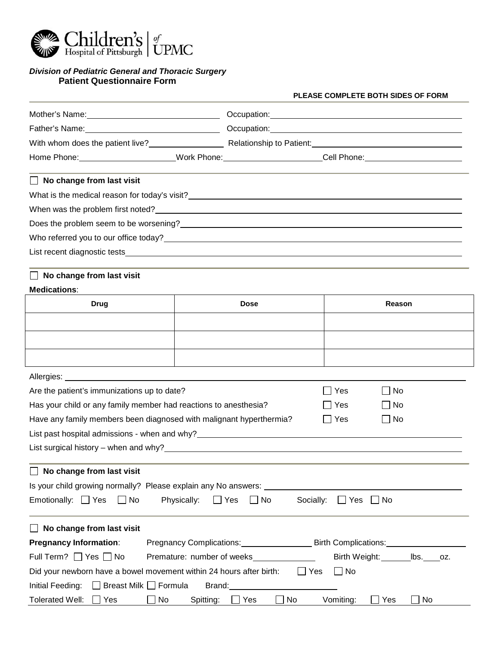

## *Division of Pediatric General and Thoracic Surgery* **Patient Questionnaire Form**

# **PLEASE COMPLETE BOTH SIDES OF FORM**

| With whom does the patient live? Relationship to Patient: Network and Contact Management Contact Management Co                                                                                                                 |                                                                      |                                                                                 |
|--------------------------------------------------------------------------------------------------------------------------------------------------------------------------------------------------------------------------------|----------------------------------------------------------------------|---------------------------------------------------------------------------------|
| Home Phone:________________________Work Phone:_____________________Cell Phone:______________________                                                                                                                           |                                                                      |                                                                                 |
| No change from last visit                                                                                                                                                                                                      |                                                                      |                                                                                 |
|                                                                                                                                                                                                                                |                                                                      |                                                                                 |
|                                                                                                                                                                                                                                |                                                                      |                                                                                 |
|                                                                                                                                                                                                                                |                                                                      |                                                                                 |
| Who referred you to our office today?<br>Who referred you to our office today?                                                                                                                                                 |                                                                      |                                                                                 |
|                                                                                                                                                                                                                                |                                                                      |                                                                                 |
| No change from last visit                                                                                                                                                                                                      |                                                                      |                                                                                 |
| <b>Medications:</b>                                                                                                                                                                                                            |                                                                      |                                                                                 |
| <b>Drug</b>                                                                                                                                                                                                                    | <b>Dose</b>                                                          | Reason                                                                          |
|                                                                                                                                                                                                                                |                                                                      |                                                                                 |
|                                                                                                                                                                                                                                |                                                                      |                                                                                 |
|                                                                                                                                                                                                                                |                                                                      |                                                                                 |
|                                                                                                                                                                                                                                |                                                                      |                                                                                 |
| Are the patient's immunizations up to date?                                                                                                                                                                                    |                                                                      | $\sqcup$ Yes<br>l No                                                            |
| Has your child or any family member had reactions to anesthesia?                                                                                                                                                               |                                                                      | $\Box$ Yes<br>_  No                                                             |
| Have any family members been diagnosed with malignant hyperthermia?                                                                                                                                                            |                                                                      | ∣∣Yes<br>∣No                                                                    |
| List past hospital admissions - when and why? Notice that the control of the control of the control of the control of the control of the control of the control of the control of the control of the control of the control of |                                                                      |                                                                                 |
| List surgical history – when and why? <b>All and All and All and All and All and All and All and All and All and A</b>                                                                                                         |                                                                      |                                                                                 |
| No change from last visit                                                                                                                                                                                                      |                                                                      |                                                                                 |
| Is your child growing normally? Please explain any No answers:                                                                                                                                                                 |                                                                      |                                                                                 |
| Emotionally: $\Box$ Yes<br>Physically:<br>∣∣No                                                                                                                                                                                 | Socially:<br>$\Box$ Yes<br>$\Box$ No                                 | $\Box$ Yes<br>$\Box$ No                                                         |
| No change from last visit                                                                                                                                                                                                      |                                                                      |                                                                                 |
| <b>Pregnancy Information:</b>                                                                                                                                                                                                  |                                                                      | Pregnancy Complications: Birth Complications: Executive District Complications: |
| Full Term? $\Box$ Yes $\Box$ No                                                                                                                                                                                                | Premature: number of weeks                                           | Birth Weight: _______ lbs. ____ oz.                                             |
| Did your newborn have a bowel movement within 24 hours after birth:                                                                                                                                                            | $\Box$ Yes                                                           | $\Box$ No                                                                       |
| $\Box$ Breast Milk $\Box$ Formula<br>Initial Feeding:                                                                                                                                                                          | Brand: National Assembly Practice and Security and Security Assembly |                                                                                 |
| <b>Tolerated Well:</b><br>$\Box$ No<br>Spitting:<br>Yes                                                                                                                                                                        | $\Box$ Yes<br>No                                                     | Vomiting:<br>$\Box$ Yes<br>$\Box$ No                                            |